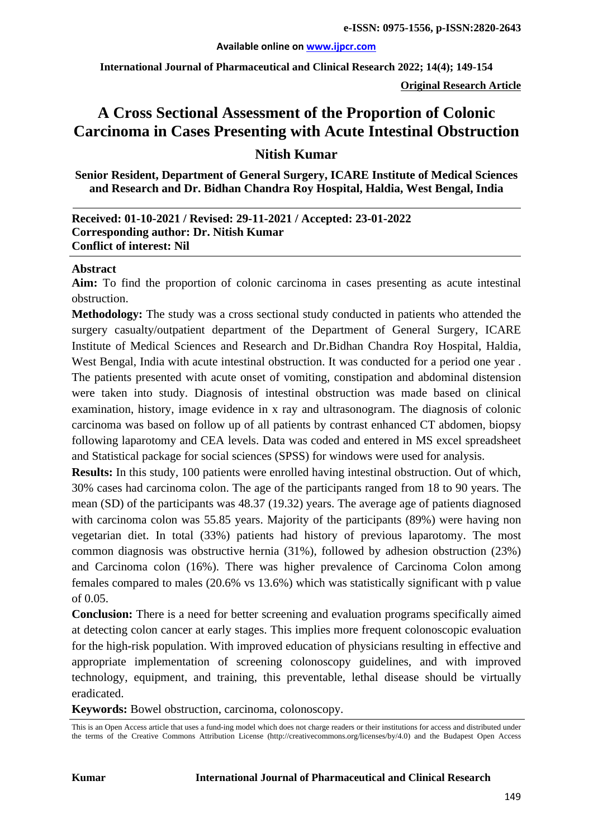**International Journal of Pharmaceutical and Clinical Research 2022; 14(4); 149-154**

**Original Research Article**

# **A Cross Sectional Assessment of the Proportion of Colonic Carcinoma in Cases Presenting with Acute Intestinal Obstruction**

## **Nitish Kumar**

**Senior Resident, Department of General Surgery, ICARE Institute of Medical Sciences and Research and Dr. Bidhan Chandra Roy Hospital, Haldia, West Bengal, India**

#### **Received: 01-10-2021 / Revised: 29-11-2021 / Accepted: 23-01-2022 Corresponding author: Dr. Nitish Kumar Conflict of interest: Nil**

#### **Abstract**

**Aim:** To find the proportion of colonic carcinoma in cases presenting as acute intestinal obstruction.

**Methodology:** The study was a cross sectional study conducted in patients who attended the surgery casualty/outpatient department of the Department of General Surgery, ICARE Institute of Medical Sciences and Research and Dr.Bidhan Chandra Roy Hospital, Haldia, West Bengal, India with acute intestinal obstruction. It was conducted for a period one year . The patients presented with acute onset of vomiting, constipation and abdominal distension were taken into study. Diagnosis of intestinal obstruction was made based on clinical examination, history, image evidence in x ray and ultrasonogram. The diagnosis of colonic carcinoma was based on follow up of all patients by contrast enhanced CT abdomen, biopsy following laparotomy and CEA levels. Data was coded and entered in MS excel spreadsheet and Statistical package for social sciences (SPSS) for windows were used for analysis.

**Results:** In this study, 100 patients were enrolled having intestinal obstruction. Out of which, 30% cases had carcinoma colon. The age of the participants ranged from 18 to 90 years. The mean (SD) of the participants was 48.37 (19.32) years. The average age of patients diagnosed with carcinoma colon was 55.85 years. Majority of the participants (89%) were having non vegetarian diet. In total (33%) patients had history of previous laparotomy. The most common diagnosis was obstructive hernia (31%), followed by adhesion obstruction (23%) and Carcinoma colon (16%). There was higher prevalence of Carcinoma Colon among females compared to males (20.6% vs 13.6%) which was statistically significant with p value of 0.05.

**Conclusion:** There is a need for better screening and evaluation programs specifically aimed at detecting colon cancer at early stages. This implies more frequent colonoscopic evaluation for the high-risk population. With improved education of physicians resulting in effective and appropriate implementation of screening colonoscopy guidelines, and with improved technology, equipment, and training, this preventable, lethal disease should be virtually eradicated.

**Keywords:** Bowel obstruction, carcinoma, colonoscopy.

This is an Open Access article that uses a fund-ing model which does not charge readers or their institutions for access and distributed under the terms of the Creative Commons Attribution License (http://creativecommons.org/licenses/by/4.0) and the Budapest Open Access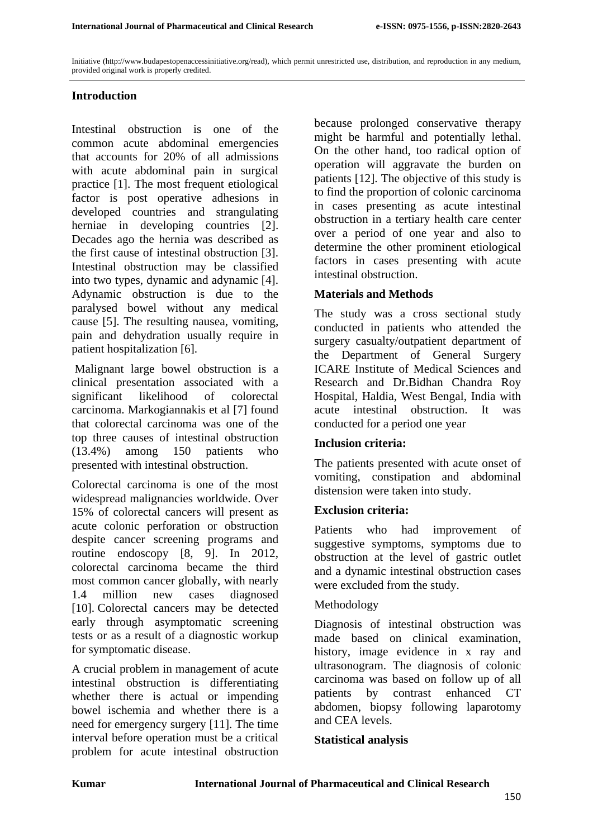Initiative (http://www.budapestopenaccessinitiative.org/read), which permit unrestricted use, distribution, and reproduction in any medium, provided original work is properly credited.

### **Introduction**

Intestinal obstruction is one of the common acute abdominal emergencies that accounts for 20% of all admissions with acute abdominal pain in surgical practice [1]. The most frequent etiological factor is post operative adhesions in developed countries and strangulating herniae in developing countries [2]. Decades ago the hernia was described as the first cause of intestinal obstruction [3]. Intestinal obstruction may be classified into two types, dynamic and adynamic [4]. Adynamic obstruction is due to the paralysed bowel without any medical cause [5]. The resulting nausea, vomiting, pain and dehydration usually require in patient hospitalization [6].

Malignant large bowel obstruction is a clinical presentation associated with a significant likelihood of colorectal carcinoma. Markogiannakis et al [7] found that colorectal carcinoma was one of the top three causes of intestinal obstruction (13.4%) among 150 patients who presented with intestinal obstruction.

Colorectal carcinoma is one of the most widespread malignancies worldwide. Over 15% of colorectal cancers will present as acute colonic perforation or obstruction despite cancer screening programs and routine endoscopy [8, 9]. In 2012, colorectal carcinoma became the third most common cancer globally, with nearly 1.4 million new cases diagnosed [10]. Colorectal cancers may be detected early through asymptomatic screening tests or as a result of a diagnostic workup for symptomatic disease.

A crucial problem in management of acute intestinal obstruction is differentiating whether there is actual or impending bowel ischemia and whether there is a need for emergency surgery [11]. The time interval before operation must be a critical problem for acute intestinal obstruction

because prolonged conservative therapy might be harmful and potentially lethal. On the other hand, too radical option of operation will aggravate the burden on patients [12]. The objective of this study is to find the proportion of colonic carcinoma in cases presenting as acute intestinal obstruction in a tertiary health care center over a period of one year and also to determine the other prominent etiological factors in cases presenting with acute intestinal obstruction.

### **Materials and Methods**

The study was a cross sectional study conducted in patients who attended the surgery casualty/outpatient department of the Department of General Surgery ICARE Institute of Medical Sciences and Research and Dr.Bidhan Chandra Roy Hospital, Haldia, West Bengal, India with acute intestinal obstruction. It was conducted for a period one year

#### **Inclusion criteria:**

The patients presented with acute onset of vomiting, constipation and abdominal distension were taken into study.

#### **Exclusion criteria:**

Patients who had improvement of suggestive symptoms, symptoms due to obstruction at the level of gastric outlet and a dynamic intestinal obstruction cases were excluded from the study.

#### Methodology

Diagnosis of intestinal obstruction was made based on clinical examination, history, image evidence in x ray and ultrasonogram. The diagnosis of colonic carcinoma was based on follow up of all patients by contrast enhanced CT abdomen, biopsy following laparotomy and CEA levels.

#### **Statistical analysis**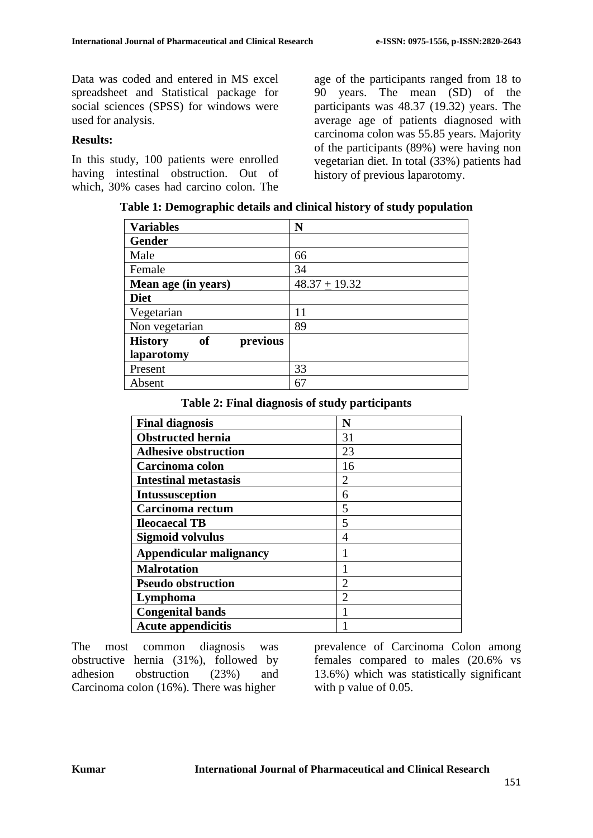Data was coded and entered in MS excel spreadsheet and Statistical package for social sciences (SPSS) for windows were used for analysis.

#### **Results:**

In this study, 100 patients were enrolled having intestinal obstruction. Out of which, 30% cases had carcino colon. The age of the participants ranged from 18 to 90 years. The mean (SD) of the participants was 48.37 (19.32) years. The average age of patients diagnosed with carcinoma colon was 55.85 years. Majority of the participants (89%) were having non vegetarian diet. In total (33%) patients had history of previous laparotomy.

| Table 1: Demographic details and clinical history of study population |  |
|-----------------------------------------------------------------------|--|
|-----------------------------------------------------------------------|--|

| <b>Variables</b>                        | N               |
|-----------------------------------------|-----------------|
| <b>Gender</b>                           |                 |
| Male                                    | 66              |
| Female                                  | 34              |
| Mean age (in years)                     | $48.37 + 19.32$ |
| <b>Diet</b>                             |                 |
| Vegetarian                              | 11              |
| Non vegetarian                          | 89              |
| previous<br><b>History</b><br><b>of</b> |                 |
| laparotomy                              |                 |
| Present                                 | 33              |
| Absent                                  | 67              |

#### **Table 2: Final diagnosis of study participants**

| <b>Final diagnosis</b>         | N              |
|--------------------------------|----------------|
| <b>Obstructed hernia</b>       | 31             |
| <b>Adhesive obstruction</b>    | 23             |
| Carcinoma colon                | 16             |
| <b>Intestinal metastasis</b>   | $\overline{2}$ |
| <b>Intussusception</b>         | 6              |
| Carcinoma rectum               | 5              |
| <b>Ileocaecal TB</b>           | 5              |
| <b>Sigmoid volvulus</b>        | 4              |
| <b>Appendicular malignancy</b> |                |
| <b>Malrotation</b>             |                |
| <b>Pseudo obstruction</b>      | 2              |
| Lymphoma                       | 2              |
| <b>Congenital bands</b>        |                |
| <b>Acute appendicitis</b>      |                |

The most common diagnosis was obstructive hernia (31%), followed by adhesion obstruction (23%) and Carcinoma colon (16%). There was higher

prevalence of Carcinoma Colon among females compared to males (20.6% vs 13.6%) which was statistically significant with p value of 0.05.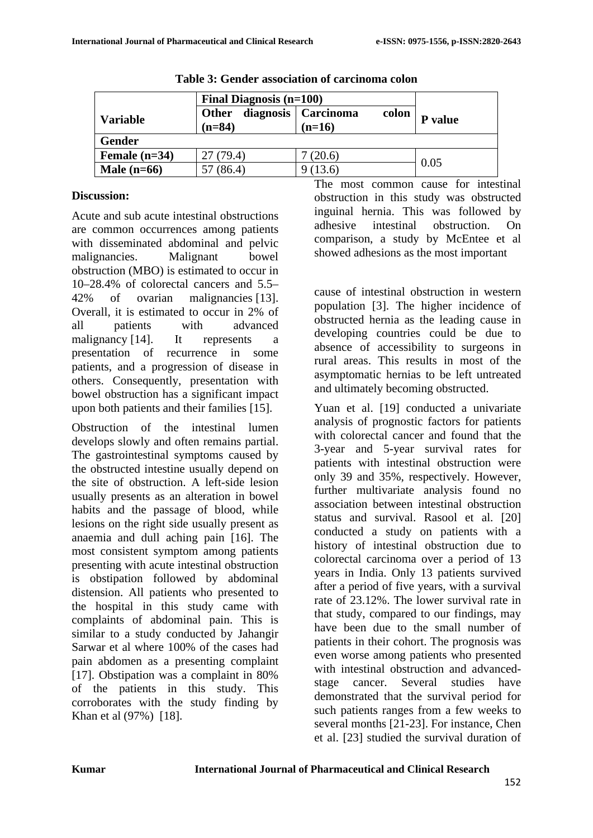|                 | <b>Final Diagnosis (n=100)</b>        |                                |         |  |  |
|-----------------|---------------------------------------|--------------------------------|---------|--|--|
| <b>Variable</b> | diagnosis<br><b>Other</b><br>$(n=84)$ | Carcinoma<br>colon<br>$(n=16)$ | P value |  |  |
| <b>Gender</b>   |                                       |                                |         |  |  |
| Female $(n=34)$ | 27 (79.4)                             | (20.6)                         |         |  |  |
| Male $(n=66)$   | (86.4)                                | (13.6)                         | 0.05    |  |  |

**Table 3: Gender association of carcinoma colon**

#### **Discussion:**

Acute and sub acute intestinal obstructions are common occurrences among patients with disseminated abdominal and pelvic malignancies. Malignant bowel obstruction (MBO) is estimated to occur in 10–28.4% of colorectal cancers and 5.5– 42% of ovarian malignancies [13]. Overall, it is estimated to occur in 2% of all patients with advanced malignancy [14]. It represents a presentation of recurrence in some patients, and a progression of disease in others. Consequently, presentation with bowel obstruction has a significant impact upon both patients and their families [15].

Obstruction of the intestinal lumen develops slowly and often remains partial. The gastrointestinal symptoms caused by the obstructed intestine usually depend on the site of obstruction. A left-side lesion usually presents as an alteration in bowel habits and the passage of blood, while lesions on the right side usually present as anaemia and dull aching pain [16]. The most consistent symptom among patients presenting with acute intestinal obstruction is obstipation followed by abdominal distension. All patients who presented to the hospital in this study came with complaints of abdominal pain. This is similar to a study conducted by Jahangir Sarwar et al where 100% of the cases had pain abdomen as a presenting complaint [17]. Obstipation was a complaint in 80% of the patients in this study. This corroborates with the study finding by Khan et al (97%) [18].

The most common cause for intestinal obstruction in this study was obstructed inguinal hernia. This was followed by adhesive intestinal obstruction. On comparison, a study by McEntee et al showed adhesions as the most important

cause of intestinal obstruction in western population [3]. The higher incidence of obstructed hernia as the leading cause in developing countries could be due to absence of accessibility to surgeons in rural areas. This results in most of the asymptomatic hernias to be left untreated and ultimately becoming obstructed.

Yuan et al. [19] conducted a univariate analysis of prognostic factors for patients with colorectal cancer and found that the 3-year and 5-year survival rates for patients with intestinal obstruction were only 39 and 35%, respectively. However, further multivariate analysis found no association between intestinal obstruction status and survival. Rasool et al. [20] conducted a study on patients with a history of intestinal obstruction due to colorectal carcinoma over a period of 13 years in India. Only 13 patients survived after a period of five years, with a survival rate of 23.12%. The lower survival rate in that study, compared to our findings, may have been due to the small number of patients in their cohort. The prognosis was even worse among patients who presented with intestinal obstruction and advancedstage cancer. Several studies have demonstrated that the survival period for such patients ranges from a few weeks to several months [21-23]. For instance, Chen et al. [23] studied the survival duration of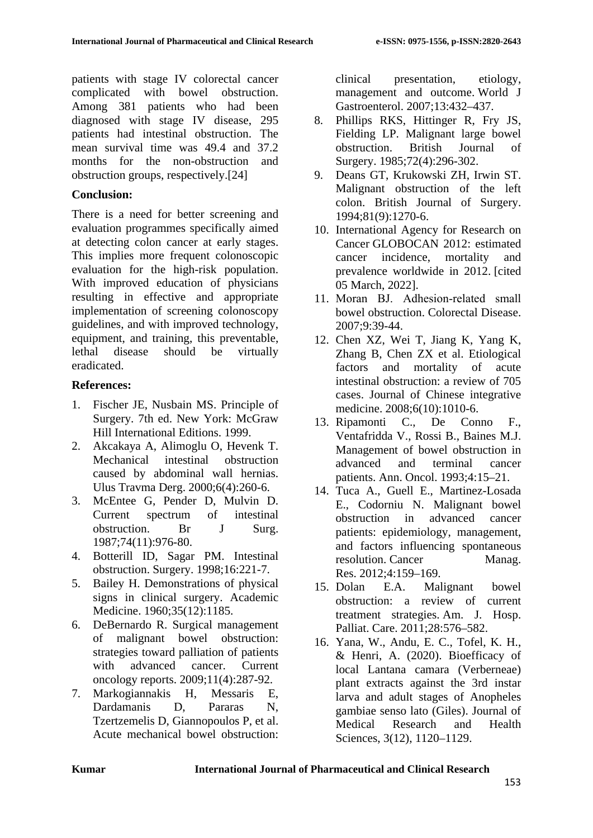patients with stage IV colorectal cancer complicated with bowel obstruction. Among 381 patients who had been diagnosed with stage IV disease, 295 patients had intestinal obstruction. The mean survival time was 49.4 and 37.2 months for the non-obstruction and obstruction groups, respectively.[24]

#### **Conclusion:**

There is a need for better screening and evaluation programmes specifically aimed at detecting colon cancer at early stages. This implies more frequent colonoscopic evaluation for the high-risk population. With improved education of physicians resulting in effective and appropriate implementation of screening colonoscopy guidelines, and with improved technology, equipment, and training, this preventable, lethal disease should be virtually eradicated.

#### **References:**

- 1. Fischer JE, Nusbain MS. Principle of Surgery. 7th ed. New York: McGraw Hill International Editions. 1999.
- 2. Akcakaya A, Alimoglu O, Hevenk T. Mechanical intestinal obstruction caused by abdominal wall hernias. Ulus Travma Derg. 2000;6(4):260-6.
- 3. McEntee G, Pender D, Mulvin D. Current spectrum of intestinal obstruction. Br J Surg. 1987;74(11):976-80.
- 4. Botterill ID, Sagar PM. Intestinal obstruction. Surgery. 1998;16:221-7.
- 5. Bailey H. Demonstrations of physical signs in clinical surgery. Academic Medicine. 1960;35(12):1185.
- 6. DeBernardo R. Surgical management of malignant bowel obstruction: strategies toward palliation of patients with advanced cancer. Current oncology reports. 2009;11(4):287-92.
- 7. Markogiannakis H, Messaris E, Dardamanis D, Pararas N, Tzertzemelis D, Giannopoulos P, et al. Acute mechanical bowel obstruction:

clinical presentation, etiology, management and outcome. World J Gastroenterol. 2007;13:432–437.

- 8. Phillips RKS, Hittinger R, Fry JS, Fielding LP. Malignant large bowel<br>obstruction. British Journal of obstruction. British Journal of Surgery. 1985;72(4):296-302.
- 9. Deans GT, Krukowski ZH, Irwin ST. Malignant obstruction of the left colon. British Journal of Surgery. 1994;81(9):1270-6.
- 10. International Agency for Research on Cancer GLOBOCAN 2012: estimated cancer incidence, mortality and prevalence worldwide in 2012. [cited 05 March, 2022].
- 11. Moran BJ. Adhesion‐related small bowel obstruction. Colorectal Disease. 2007;9:39-44.
- 12. Chen XZ, Wei T, Jiang K, Yang K, Zhang B, Chen ZX et al. Etiological factors and mortality of acute intestinal obstruction: a review of 705 cases. Journal of Chinese integrative medicine. 2008;6(10):1010-6.
- 13. Ripamonti C., De Conno F., Ventafridda V., Rossi B., Baines M.J. Management of bowel obstruction in advanced and terminal cancer patients. Ann. Oncol. 1993;4:15–21.
- 14. Tuca A., Guell E., Martinez-Losada E., Codorniu N. Malignant bowel obstruction in advanced cancer patients: epidemiology, management, and factors influencing spontaneous resolution. Cancer Manag. Res. 2012;4:159-169.<br>15. Dolan E.A. Mal
- E.A. Malignant bowel obstruction: a review of current treatment strategies. Am. J. Hosp. Palliat. Care. 2011;28:576–582.
- 16. Yana, W., Andu, E. C., Tofel, K. H., & Henri, A. (2020). Bioefficacy of local Lantana camara (Verberneae) plant extracts against the 3rd instar larva and adult stages of Anopheles gambiae senso lato (Giles). Journal of Medical Research and Health Sciences, 3(12), 1120–1129.